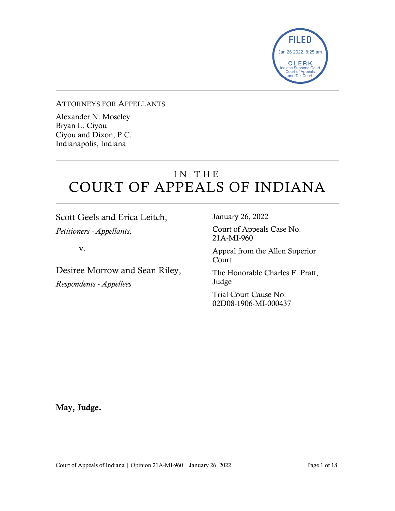

#### ATTORNEYS FOR APPELLANTS

Alexander N. Moseley Bryan L. Ciyou Ciyou and Dixon, P.C. Indianapolis, Indiana

## IN THE COURT OF APPEALS OF INDIANA

Scott Geels and Erica Leitch, *Petitioners - Appellants,*

v.

Desiree Morrow and Sean Riley, *Respondents - Appellees*

January 26, 2022

Court of Appeals Case No. 21A-MI-960

Appeal from the Allen Superior Court

The Honorable Charles F. Pratt, Judge

Trial Court Cause No. 02D08-1906-MI-000437

May, Judge.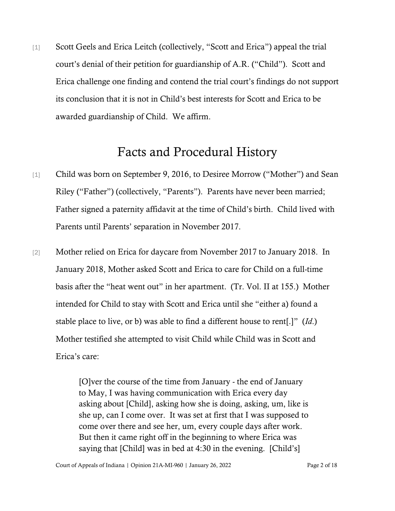[1] Scott Geels and Erica Leitch (collectively, "Scott and Erica") appeal the trial court's denial of their petition for guardianship of A.R. ("Child"). Scott and Erica challenge one finding and contend the trial court's findings do not support its conclusion that it is not in Child's best interests for Scott and Erica to be awarded guardianship of Child. We affirm.

### Facts and Procedural History

- [1] Child was born on September 9, 2016, to Desiree Morrow ("Mother") and Sean Riley ("Father") (collectively, "Parents"). Parents have never been married; Father signed a paternity affidavit at the time of Child's birth. Child lived with Parents until Parents' separation in November 2017.
- [2] Mother relied on Erica for daycare from November 2017 to January 2018. In January 2018, Mother asked Scott and Erica to care for Child on a full-time basis after the "heat went out" in her apartment. (Tr. Vol. II at 155.) Mother intended for Child to stay with Scott and Erica until she "either a) found a stable place to live, or b) was able to find a different house to rent[.]" (*Id*.) Mother testified she attempted to visit Child while Child was in Scott and Erica's care:

[O]ver the course of the time from January - the end of January to May, I was having communication with Erica every day asking about [Child], asking how she is doing, asking, um, like is she up, can I come over. It was set at first that I was supposed to come over there and see her, um, every couple days after work. But then it came right off in the beginning to where Erica was saying that [Child] was in bed at 4:30 in the evening. [Child's]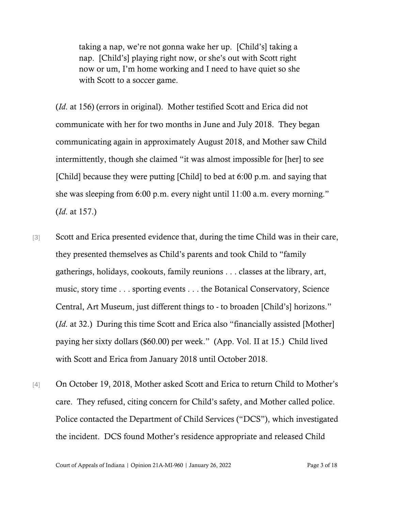taking a nap, we're not gonna wake her up. [Child's] taking a nap. [Child's] playing right now, or she's out with Scott right now or um, I'm home working and I need to have quiet so she with Scott to a soccer game.

(*Id*. at 156) (errors in original). Mother testified Scott and Erica did not communicate with her for two months in June and July 2018. They began communicating again in approximately August 2018, and Mother saw Child intermittently, though she claimed "it was almost impossible for [her] to see [Child] because they were putting [Child] to bed at 6:00 p.m. and saying that she was sleeping from 6:00 p.m. every night until 11:00 a.m. every morning." (*Id*. at 157.)

- [3] Scott and Erica presented evidence that, during the time Child was in their care, they presented themselves as Child's parents and took Child to "family gatherings, holidays, cookouts, family reunions . . . classes at the library, art, music, story time . . . sporting events . . . the Botanical Conservatory, Science Central, Art Museum, just different things to - to broaden [Child's] horizons." (*Id*. at 32.) During this time Scott and Erica also "financially assisted [Mother] paying her sixty dollars (\$60.00) per week." (App. Vol. II at 15.) Child lived with Scott and Erica from January 2018 until October 2018.
- [4] On October 19, 2018, Mother asked Scott and Erica to return Child to Mother's care. They refused, citing concern for Child's safety, and Mother called police. Police contacted the Department of Child Services ("DCS"), which investigated the incident. DCS found Mother's residence appropriate and released Child

Court of Appeals of Indiana | Opinion 21A-MI-960 | January 26, 2022 Page 3 of 18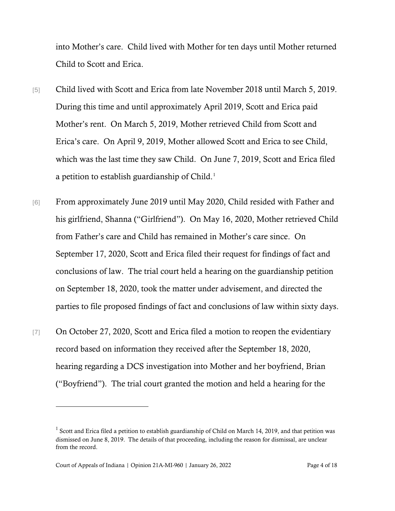into Mother's care. Child lived with Mother for ten days until Mother returned Child to Scott and Erica.

- [5] Child lived with Scott and Erica from late November 2018 until March 5, 2019. During this time and until approximately April 2019, Scott and Erica paid Mother's rent. On March 5, 2019, Mother retrieved Child from Scott and Erica's care. On April 9, 2019, Mother allowed Scott and Erica to see Child, which was the last time they saw Child. On June 7, 2019, Scott and Erica filed a petition to establish guardianship of Child.<sup>[1](#page-3-0)</sup>
- [6] From approximately June 2019 until May 2020, Child resided with Father and his girlfriend, Shanna ("Girlfriend"). On May 16, 2020, Mother retrieved Child from Father's care and Child has remained in Mother's care since. On September 17, 2020, Scott and Erica filed their request for findings of fact and conclusions of law. The trial court held a hearing on the guardianship petition on September 18, 2020, took the matter under advisement, and directed the parties to file proposed findings of fact and conclusions of law within sixty days.
- [7] On October 27, 2020, Scott and Erica filed a motion to reopen the evidentiary record based on information they received after the September 18, 2020, hearing regarding a DCS investigation into Mother and her boyfriend, Brian ("Boyfriend"). The trial court granted the motion and held a hearing for the

<span id="page-3-0"></span><sup>&</sup>lt;sup>1</sup> Scott and Erica filed a petition to establish guardianship of Child on March 14, 2019, and that petition was dismissed on June 8, 2019. The details of that proceeding, including the reason for dismissal, are unclear from the record.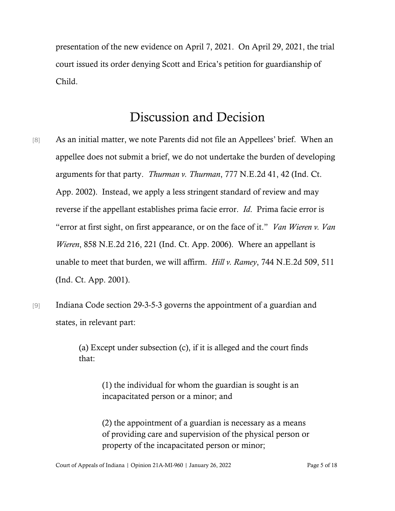presentation of the new evidence on April 7, 2021. On April 29, 2021, the trial court issued its order denying Scott and Erica's petition for guardianship of Child.

# Discussion and Decision

- [8] As an initial matter, we note Parents did not file an Appellees' brief. When an appellee does not submit a brief, we do not undertake the burden of developing arguments for that party. *Thurman v. Thurman*, 777 N.E.2d 41, 42 (Ind. Ct. App. 2002). Instead, we apply a less stringent standard of review and may reverse if the appellant establishes prima facie error. *Id*. Prima facie error is "error at first sight, on first appearance, or on the face of it." *Van Wieren v. Van Wieren*, 858 N.E.2d 216, 221 (Ind. Ct. App. 2006). Where an appellant is unable to meet that burden, we will affirm. *Hill v. Ramey*, 744 N.E.2d 509, 511 (Ind. Ct. App. 2001).
- [9] Indiana Code section 29-3-5-3 governs the appointment of a guardian and states, in relevant part:

(a) Except under subsection (c), if it is alleged and the court finds that:

> (1) the individual for whom the guardian is sought is an incapacitated person or a minor; and

(2) the appointment of a guardian is necessary as a means of providing care and supervision of the physical person or property of the incapacitated person or minor;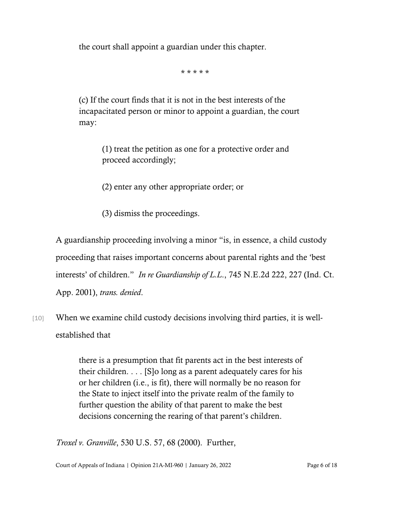the court shall appoint a guardian under this chapter.

\* \* \* \* \*

(c) If the court finds that it is not in the best interests of the incapacitated person or minor to appoint a guardian, the court may:

> (1) treat the petition as one for a protective order and proceed accordingly;

(2) enter any other appropriate order; or

(3) dismiss the proceedings.

A guardianship proceeding involving a minor "is, in essence, a child custody proceeding that raises important concerns about parental rights and the 'best interests' of children." *In re Guardianship of L.L*., 745 N.E.2d 222, 227 (Ind. Ct. App. 2001), *trans. denied*.

[10] When we examine child custody decisions involving third parties, it is wellestablished that

> there is a presumption that fit parents act in the best interests of their children. . . . [S]o long as a parent adequately cares for his or her children (i.e., is fit), there will normally be no reason for the State to inject itself into the private realm of the family to further question the ability of that parent to make the best decisions concerning the rearing of that parent's children.

*Troxel v. Granville*, 530 U.S. 57, 68 (2000). Further,

Court of Appeals of Indiana | Opinion 21A-MI-960 | January 26, 2022 Page 6 of 18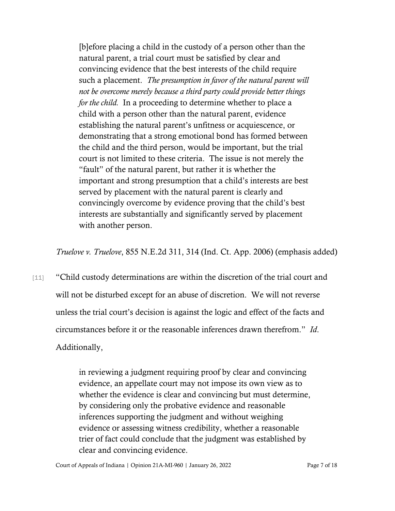[b]efore placing a child in the custody of a person other than the natural parent, a trial court must be satisfied by clear and convincing evidence that the best interests of the child require such a placement. *The presumption in favor of the natural parent will not be overcome merely because a third party could provide better things for the child.* In a proceeding to determine whether to place a child with a person other than the natural parent, evidence establishing the natural parent's unfitness or acquiescence, or demonstrating that a strong emotional bond has formed between the child and the third person, would be important, but the trial court is not limited to these criteria. The issue is not merely the "fault" of the natural parent, but rather it is whether the important and strong presumption that a child's interests are best served by placement with the natural parent is clearly and convincingly overcome by evidence proving that the child's best interests are substantially and significantly served by placement with another person.

*Truelove v. Truelove*, 855 N.E.2d 311, 314 (Ind. Ct. App. 2006) (emphasis added)

[11] "Child custody determinations are within the discretion of the trial court and will not be disturbed except for an abuse of discretion. We will not reverse unless the trial court's decision is against the logic and effect of the facts and circumstances before it or the reasonable inferences drawn therefrom." *Id*. Additionally,

> in reviewing a judgment requiring proof by clear and convincing evidence, an appellate court may not impose its own view as to whether the evidence is clear and convincing but must determine, by considering only the probative evidence and reasonable inferences supporting the judgment and without weighing evidence or assessing witness credibility, whether a reasonable trier of fact could conclude that the judgment was established by clear and convincing evidence.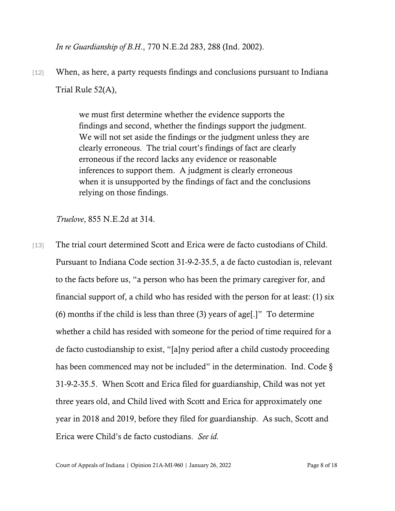*In re Guardianship of B.H*., 770 N.E.2d 283, 288 (Ind. 2002).

[12] When, as here, a party requests findings and conclusions pursuant to Indiana Trial Rule 52(A),

> we must first determine whether the evidence supports the findings and second, whether the findings support the judgment. We will not set aside the findings or the judgment unless they are clearly erroneous. The trial court's findings of fact are clearly erroneous if the record lacks any evidence or reasonable inferences to support them. A judgment is clearly erroneous when it is unsupported by the findings of fact and the conclusions relying on those findings.

*Truelove*, 855 N.E.2d at 314.

[13] The trial court determined Scott and Erica were de facto custodians of Child. Pursuant to Indiana Code section 31-9-2-35.5, a de facto custodian is, relevant to the facts before us, "a person who has been the primary caregiver for, and financial support of, a child who has resided with the person for at least: (1) six (6) months if the child is less than three (3) years of age[.]" To determine whether a child has resided with someone for the period of time required for a de facto custodianship to exist, "[a]ny period after a child custody proceeding has been commenced may not be included" in the determination. Ind. Code  $\S$ 31-9-2-35.5. When Scott and Erica filed for guardianship, Child was not yet three years old, and Child lived with Scott and Erica for approximately one year in 2018 and 2019, before they filed for guardianship. As such, Scott and Erica were Child's de facto custodians. *See id.*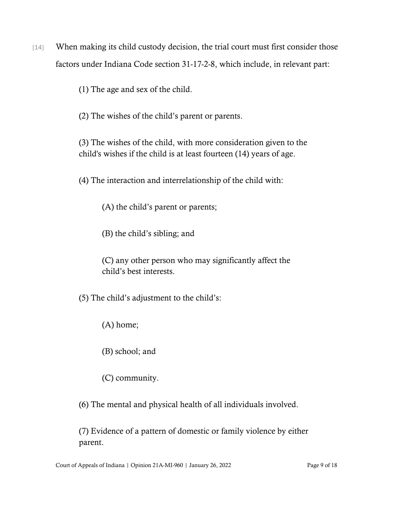[14] When making its child custody decision, the trial court must first consider those factors under Indiana Code section 31-17-2-8, which include, in relevant part:

(1) The age and sex of the child.

(2) The wishes of the child's parent or parents.

(3) The wishes of the child, with more consideration given to the child's wishes if the child is at least fourteen (14) years of age.

(4) The interaction and interrelationship of the child with:

(A) the child's parent or parents;

(B) the child's sibling; and

(C) any other person who may significantly affect the child's best interests.

(5) The child's adjustment to the child's:

(A) home;

(B) school; and

(C) community.

(6) The mental and physical health of all individuals involved.

(7) Evidence of a pattern of domestic or family violence by either parent.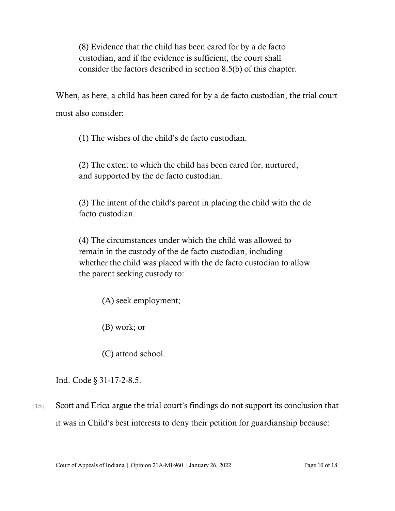(8) Evidence that the child has been cared for by a de facto custodian, and if the evidence is sufficient, the court shall consider the factors described in section 8.5(b) of this chapter.

When, as here, a child has been cared for by a de facto custodian, the trial court must also consider:

(1) The wishes of the child's de facto custodian.

(2) The extent to which the child has been cared for, nurtured, and supported by the de facto custodian.

(3) The intent of the child's parent in placing the child with the de facto custodian.

(4) The circumstances under which the child was allowed to remain in the custody of the de facto custodian, including whether the child was placed with the de facto custodian to allow the parent seeking custody to:

(A) seek employment;

(B) work; or

(C) attend school.

Ind. Code § 31-17-2-8.5.

[15] Scott and Erica argue the trial court's findings do not support its conclusion that it was in Child's best interests to deny their petition for guardianship because: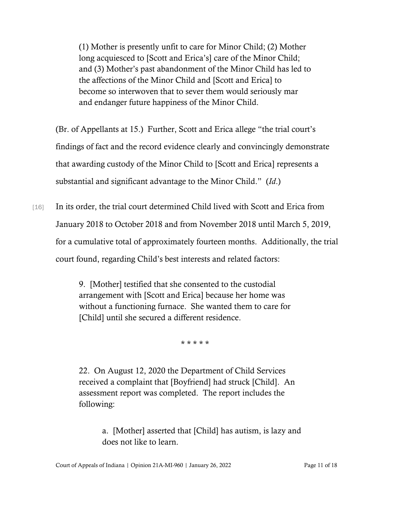(1) Mother is presently unfit to care for Minor Child; (2) Mother long acquiesced to [Scott and Erica's] care of the Minor Child; and (3) Mother's past abandonment of the Minor Child has led to the affections of the Minor Child and [Scott and Erica] to become so interwoven that to sever them would seriously mar and endanger future happiness of the Minor Child.

(Br. of Appellants at 15.) Further, Scott and Erica allege "the trial court's findings of fact and the record evidence clearly and convincingly demonstrate that awarding custody of the Minor Child to [Scott and Erica] represents a substantial and significant advantage to the Minor Child." (*Id*.)

[16] In its order, the trial court determined Child lived with Scott and Erica from January 2018 to October 2018 and from November 2018 until March 5, 2019, for a cumulative total of approximately fourteen months. Additionally, the trial court found, regarding Child's best interests and related factors:

> 9. [Mother] testified that she consented to the custodial arrangement with [Scott and Erica] because her home was without a functioning furnace. She wanted them to care for [Child] until she secured a different residence.

> > \* \* \* \* \*

22. On August 12, 2020 the Department of Child Services received a complaint that [Boyfriend] had struck [Child]. An assessment report was completed. The report includes the following:

> a. [Mother] asserted that [Child] has autism, is lazy and does not like to learn.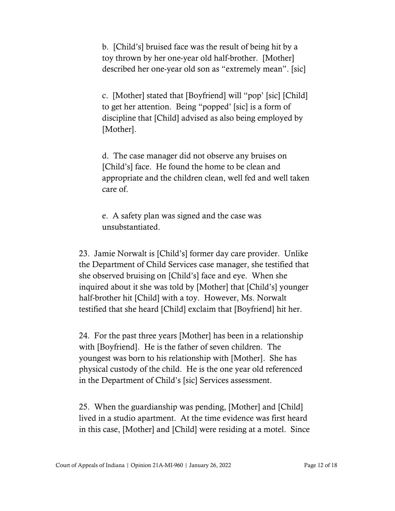b. [Child's] bruised face was the result of being hit by a toy thrown by her one-year old half-brother. [Mother] described her one-year old son as "extremely mean". [sic]

c. [Mother] stated that [Boyfriend] will "pop' [sic] [Child] to get her attention. Being "popped' [sic] is a form of discipline that [Child] advised as also being employed by [Mother].

d. The case manager did not observe any bruises on [Child's] face. He found the home to be clean and appropriate and the children clean, well fed and well taken care of.

e. A safety plan was signed and the case was unsubstantiated.

23. Jamie Norwalt is [Child's] former day care provider. Unlike the Department of Child Services case manager, she testified that she observed bruising on [Child's] face and eye. When she inquired about it she was told by [Mother] that [Child's] younger half-brother hit [Child] with a toy. However, Ms. Norwalt testified that she heard [Child] exclaim that [Boyfriend] hit her.

24. For the past three years [Mother] has been in a relationship with [Boyfriend]. He is the father of seven children. The youngest was born to his relationship with [Mother]. She has physical custody of the child. He is the one year old referenced in the Department of Child's [sic] Services assessment.

25. When the guardianship was pending, [Mother] and [Child] lived in a studio apartment. At the time evidence was first heard in this case, [Mother] and [Child] were residing at a motel. Since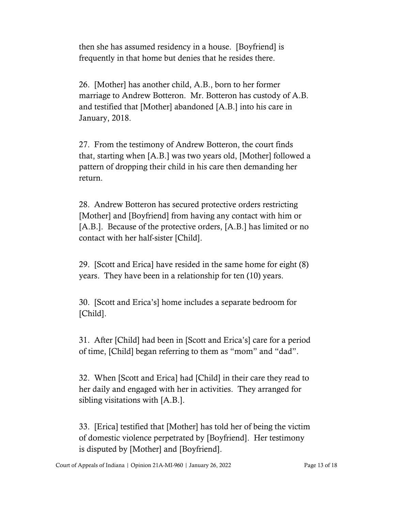then she has assumed residency in a house. [Boyfriend] is frequently in that home but denies that he resides there.

26. [Mother] has another child, A.B., born to her former marriage to Andrew Botteron. Mr. Botteron has custody of A.B. and testified that [Mother] abandoned [A.B.] into his care in January, 2018.

27. From the testimony of Andrew Botteron, the court finds that, starting when [A.B.] was two years old, [Mother] followed a pattern of dropping their child in his care then demanding her return.

28. Andrew Botteron has secured protective orders restricting [Mother] and [Boyfriend] from having any contact with him or [A.B.]. Because of the protective orders, [A.B.] has limited or no contact with her half-sister [Child].

29. [Scott and Erica] have resided in the same home for eight (8) years. They have been in a relationship for ten (10) years.

30. [Scott and Erica's] home includes a separate bedroom for [Child].

31. After [Child] had been in [Scott and Erica's] care for a period of time, [Child] began referring to them as "mom" and "dad".

32. When [Scott and Erica] had [Child] in their care they read to her daily and engaged with her in activities. They arranged for sibling visitations with [A.B.].

33. [Erica] testified that [Mother] has told her of being the victim of domestic violence perpetrated by [Boyfriend]. Her testimony is disputed by [Mother] and [Boyfriend].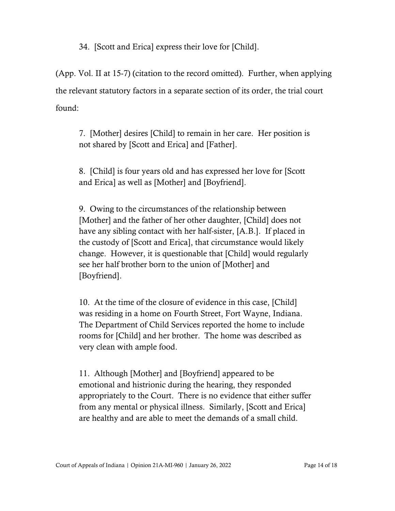34. [Scott and Erica] express their love for [Child].

(App. Vol. II at 15-7) (citation to the record omitted). Further, when applying the relevant statutory factors in a separate section of its order, the trial court found:

7. [Mother] desires [Child] to remain in her care. Her position is not shared by [Scott and Erica] and [Father].

8. [Child] is four years old and has expressed her love for [Scott and Erica] as well as [Mother] and [Boyfriend].

9. Owing to the circumstances of the relationship between [Mother] and the father of her other daughter, [Child] does not have any sibling contact with her half-sister, [A.B.]. If placed in the custody of [Scott and Erica], that circumstance would likely change. However, it is questionable that [Child] would regularly see her half brother born to the union of [Mother] and [Boyfriend].

10. At the time of the closure of evidence in this case, [Child] was residing in a home on Fourth Street, Fort Wayne, Indiana. The Department of Child Services reported the home to include rooms for [Child] and her brother. The home was described as very clean with ample food.

11. Although [Mother] and [Boyfriend] appeared to be emotional and histrionic during the hearing, they responded appropriately to the Court. There is no evidence that either suffer from any mental or physical illness. Similarly, [Scott and Erica] are healthy and are able to meet the demands of a small child.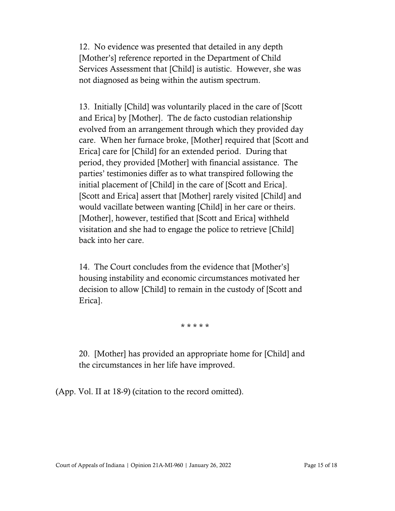12. No evidence was presented that detailed in any depth [Mother's] reference reported in the Department of Child Services Assessment that [Child] is autistic. However, she was not diagnosed as being within the autism spectrum.

13. Initially [Child] was voluntarily placed in the care of [Scott and Erica] by [Mother]. The de facto custodian relationship evolved from an arrangement through which they provided day care. When her furnace broke, [Mother] required that [Scott and Erica] care for [Child] for an extended period. During that period, they provided [Mother] with financial assistance. The parties' testimonies differ as to what transpired following the initial placement of [Child] in the care of [Scott and Erica]. [Scott and Erica] assert that [Mother] rarely visited [Child] and would vacillate between wanting [Child] in her care or theirs. [Mother], however, testified that [Scott and Erica] withheld visitation and she had to engage the police to retrieve [Child] back into her care.

14. The Court concludes from the evidence that [Mother's] housing instability and economic circumstances motivated her decision to allow [Child] to remain in the custody of [Scott and Erica].

\* \* \* \* \*

20. [Mother] has provided an appropriate home for [Child] and the circumstances in her life have improved.

(App. Vol. II at 18-9) (citation to the record omitted).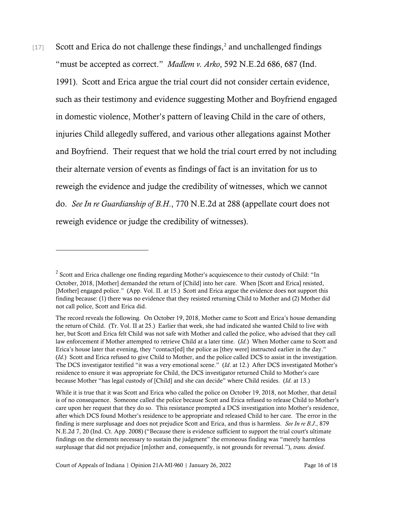$[17]$  Scott and Erica do not challenge these findings,<sup>[2](#page-15-0)</sup> and unchallenged findings "must be accepted as correct." *Madlem v. Arko*, 592 N.E.2d 686, 687 (Ind. 1991). Scott and Erica argue the trial court did not consider certain evidence, such as their testimony and evidence suggesting Mother and Boyfriend engaged in domestic violence, Mother's pattern of leaving Child in the care of others, injuries Child allegedly suffered, and various other allegations against Mother and Boyfriend. Their request that we hold the trial court erred by not including their alternate version of events as findings of fact is an invitation for us to reweigh the evidence and judge the credibility of witnesses, which we cannot do. *See In re Guardianship of B.H*., 770 N.E.2d at 288 (appellate court does not reweigh evidence or judge the credibility of witnesses).

<span id="page-15-0"></span><sup>&</sup>lt;sup>2</sup> Scott and Erica challenge one finding regarding Mother's acquiescence to their custody of Child: "In October, 2018, [Mother] demanded the return of [Child] into her care. When [Scott and Erica] resisted, [Mother] engaged police." (App. Vol. II. at 15.) Scott and Erica argue the evidence does not support this finding because: (1) there was no evidence that they resisted returning Child to Mother and (2) Mother did not call police, Scott and Erica did.

The record reveals the following. On October 19, 2018, Mother came to Scott and Erica's house demanding the return of Child. (Tr. Vol. II at 25.) Earlier that week, she had indicated she wanted Child to live with her, but Scott and Erica felt Child was not safe with Mother and called the police, who advised that they call law enforcement if Mother attempted to retrieve Child at a later time. (*Id*.) When Mother came to Scott and Erica's house later that evening, they "contact[ed] the police as [they were] instructed earlier in the day." (*Id*.) Scott and Erica refused to give Child to Mother, and the police called DCS to assist in the investigation. The DCS investigator testified "it was a very emotional scene." (*Id*. at 12.) After DCS investigated Mother's residence to ensure it was appropriate for Child, the DCS investigator returned Child to Mother's care because Mother "has legal custody of [Child] and she can decide" where Child resides. (*Id*. at 13.)

While it is true that it was Scott and Erica who called the police on October 19, 2018, not Mother, that detail is of no consequence. Someone called the police because Scott and Erica refused to release Child to Mother's care upon her request that they do so. This resistance prompted a DCS investigation into Mother's residence, after which DCS found Mother's residence to be appropriate and released Child to her care. The error in the finding is mere surplusage and does not prejudice Scott and Erica, and thus is harmless. *See In re B.J*., 879 N.E.2d 7, 20 (Ind. Ct. App. 2008) ("Because there is evidence sufficient to support the trial court's ultimate findings on the elements necessary to sustain the judgment" the erroneous finding was "merely harmless surplusage that did not prejudice [m]other and, consequently, is not grounds for reversal."), *trans. denied*.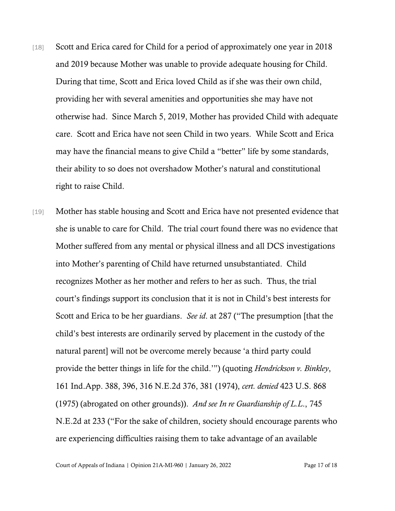- [18] Scott and Erica cared for Child for a period of approximately one year in 2018 and 2019 because Mother was unable to provide adequate housing for Child. During that time, Scott and Erica loved Child as if she was their own child, providing her with several amenities and opportunities she may have not otherwise had. Since March 5, 2019, Mother has provided Child with adequate care. Scott and Erica have not seen Child in two years. While Scott and Erica may have the financial means to give Child a "better" life by some standards, their ability to so does not overshadow Mother's natural and constitutional right to raise Child.
- [19] Mother has stable housing and Scott and Erica have not presented evidence that she is unable to care for Child. The trial court found there was no evidence that Mother suffered from any mental or physical illness and all DCS investigations into Mother's parenting of Child have returned unsubstantiated. Child recognizes Mother as her mother and refers to her as such. Thus, the trial court's findings support its conclusion that it is not in Child's best interests for Scott and Erica to be her guardians. *See id*. at 287 ("The presumption [that the child's best interests are ordinarily served by placement in the custody of the natural parent] will not be overcome merely because 'a third party could provide the better things in life for the child.'") (quoting *Hendrickson v. Binkley*, 161 Ind.App. 388, 396, 316 N.E.2d 376, 381 (1974), *cert. denied* 423 U.S. 868 (1975) (abrogated on other grounds)). *And see In re Guardianship of L.L*., 745 N.E.2d at 233 ("For the sake of children, society should encourage parents who are experiencing difficulties raising them to take advantage of an available